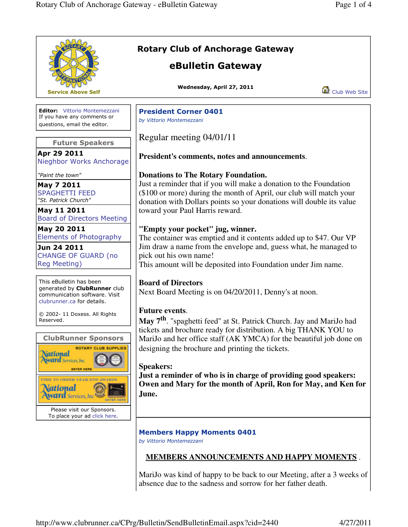|                                                                                                                        | <b>Rotary Club of Anchorage Gateway</b><br>eBulletin Gateway                                                                                                                                                      |  |
|------------------------------------------------------------------------------------------------------------------------|-------------------------------------------------------------------------------------------------------------------------------------------------------------------------------------------------------------------|--|
| <b>Service Above Self</b>                                                                                              | Wednesday, April 27, 2011<br>Club Web Site                                                                                                                                                                        |  |
| <b>Editor:</b> Vittorio Montemezzani<br>If you have any comments or<br>questions, email the editor.                    | <b>President Corner 0401</b><br>by Vittorio Montemezzani                                                                                                                                                          |  |
| <b>Future Speakers</b>                                                                                                 | Regular meeting 04/01/11                                                                                                                                                                                          |  |
| Apr 29 2011<br>Nieghbor Works Anchorage                                                                                | President's comments, notes and announcements.                                                                                                                                                                    |  |
| "Paint the town"                                                                                                       | <b>Donations to The Rotary Foundation.</b>                                                                                                                                                                        |  |
| May 7 2011<br><b>SPAGHETTI FEED</b><br>"St. Patrick Church"                                                            | Just a reminder that if you will make a donation to the Foundation<br>(\$100 or more) during the month of April, our club will match your<br>donation with Dollars points so your donations will double its value |  |
| May 11 2011<br><b>Board of Directors Meeting</b>                                                                       | toward your Paul Harris reward.                                                                                                                                                                                   |  |
| May 20 2011<br><b>Elements of Photography</b>                                                                          | "Empty your pocket" jug, winner.<br>The container was emptied and it contents added up to \$47. Our VP                                                                                                            |  |
| Jun 24 2011<br><b>CHANGE OF GUARD (no</b><br>Reg Meeting)                                                              | Jim draw a name from the envelope and, guess what, he managed to<br>pick out his own name!<br>This amount will be deposited into Foundation under Jim name.                                                       |  |
| This eBulletin has been<br>generated by ClubRunner club<br>communication software. Visit<br>clubrunner.ca for details. | <b>Board of Directors</b><br>Next Board Meeting is on 04/20/2011, Denny's at noon.                                                                                                                                |  |
| © 2002-11 Doxess. All Rights<br>Reserved.                                                                              | <b>Future events.</b><br>May 7 <sup>th</sup> . "spaghetti feed" at St. Patrick Church. Jay and MariJo had                                                                                                         |  |
| <b>ClubRunner Sponsors</b><br><b>ROTARY CLUB SUPPLIES</b>                                                              | tickets and brochure ready for distribution. A big THANK YOU to<br>MariJo and her office staff (AK YMCA) for the beautiful job done on<br>designing the brochure and printing the tickets.                        |  |
| <b>National</b><br>Award Services, Inc.                                                                                | <b>Speakers:</b><br>Just a reminder of who is in charge of providing good speakers:                                                                                                                               |  |
| TO ORDER VEAR-END AWARDS<br><u>\ational</u><br><b>Ward</b> Services, In<br>ENTER HERI                                  | Owen and Mary for the month of April, Ron for May, and Ken for<br>June.                                                                                                                                           |  |
| Please visit our Sponsors.<br>To place your ad click here.                                                             |                                                                                                                                                                                                                   |  |
|                                                                                                                        | <b>Members Happy Moments 0401</b><br>by Vittorio Montemezzani                                                                                                                                                     |  |
|                                                                                                                        | <b>MEMBERS ANNOUNCEMENTS AND HAPPY MOMENTS.</b>                                                                                                                                                                   |  |
|                                                                                                                        |                                                                                                                                                                                                                   |  |

MariJo was kind of happy to be back to our Meeting, after a 3 weeks of absence due to the sadness and sorrow for her father death.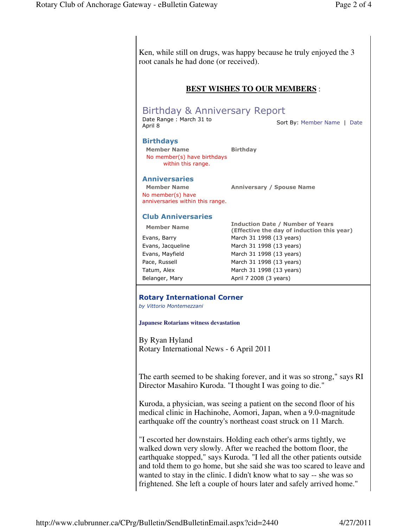|                                                                                | root canals he had done (or received).                                                                                                                                                                                                                                                 |  |                                    |
|--------------------------------------------------------------------------------|----------------------------------------------------------------------------------------------------------------------------------------------------------------------------------------------------------------------------------------------------------------------------------------|--|------------------------------------|
| <b>BEST WISHES TO OUR MEMBERS:</b><br><b>Birthday &amp; Anniversary Report</b> |                                                                                                                                                                                                                                                                                        |  |                                    |
|                                                                                |                                                                                                                                                                                                                                                                                        |  | Date Range: March 31 to<br>April 8 |
| <b>Birthdays</b>                                                               |                                                                                                                                                                                                                                                                                        |  |                                    |
| <b>Member Name</b>                                                             | <b>Birthday</b>                                                                                                                                                                                                                                                                        |  |                                    |
| No member(s) have birthdays<br>within this range.                              |                                                                                                                                                                                                                                                                                        |  |                                    |
| <b>Anniversaries</b>                                                           |                                                                                                                                                                                                                                                                                        |  |                                    |
| <b>Member Name</b>                                                             | <b>Anniversary / Spouse Name</b>                                                                                                                                                                                                                                                       |  |                                    |
| No member(s) have<br>anniversaries within this range.                          |                                                                                                                                                                                                                                                                                        |  |                                    |
| <b>Club Anniversaries</b>                                                      |                                                                                                                                                                                                                                                                                        |  |                                    |
| <b>Member Name</b>                                                             | <b>Induction Date / Number of Years</b><br>(Effective the day of induction this year)                                                                                                                                                                                                  |  |                                    |
| Evans, Barry                                                                   | March 31 1998 (13 years)                                                                                                                                                                                                                                                               |  |                                    |
| Evans, Jacqueline                                                              | March 31 1998 (13 years)                                                                                                                                                                                                                                                               |  |                                    |
| Evans, Mayfield                                                                | March 31 1998 (13 years)                                                                                                                                                                                                                                                               |  |                                    |
| Pace, Russell                                                                  | March 31 1998 (13 years)                                                                                                                                                                                                                                                               |  |                                    |
| Tatum, Alex                                                                    | March 31 1998 (13 years)                                                                                                                                                                                                                                                               |  |                                    |
| Belanger, Mary                                                                 | April 7 2008 (3 years)                                                                                                                                                                                                                                                                 |  |                                    |
| by Vittorio Montemezzani<br><b>Japanese Rotarians witness devastation</b>      |                                                                                                                                                                                                                                                                                        |  |                                    |
| By Ryan Hyland                                                                 |                                                                                                                                                                                                                                                                                        |  |                                    |
| Rotary International News - 6 April 2011                                       | Director Masahiro Kuroda. "I thought I was going to die."                                                                                                                                                                                                                              |  |                                    |
|                                                                                | The earth seemed to be shaking forever, and it was so strong," says RI<br>Kuroda, a physician, was seeing a patient on the second floor of his<br>medical clinic in Hachinohe, Aomori, Japan, when a 9.0-magnitude<br>earthquake off the country's northeast coast struck on 11 March. |  |                                    |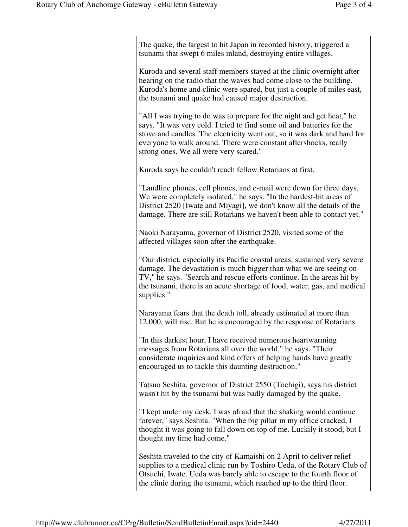The quake, the largest to hit Japan in recorded history, triggered a tsunami that swept 6 miles inland, destroying entire villages.

Kuroda and several staff members stayed at the clinic overnight after hearing on the radio that the waves had come close to the building. Kuroda's home and clinic were spared, but just a couple of miles east, the tsunami and quake had caused major destruction.

"All I was trying to do was to prepare for the night and get heat," he says. "It was very cold. I tried to find some oil and batteries for the stove and candles. The electricity went out, so it was dark and hard for everyone to walk around. There were constant aftershocks, really strong ones. We all were very scared."

Kuroda says he couldn't reach fellow Rotarians at first.

"Landline phones, cell phones, and e-mail were down for three days, We were completely isolated," he says. "In the hardest-hit areas of District 2520 [Iwate and Miyagi], we don't know all the details of the damage. There are still Rotarians we haven't been able to contact yet."

Naoki Narayama, governor of District 2520, visited some of the affected villages soon after the earthquake.

"Our district, especially its Pacific coastal areas, sustained very severe damage. The devastation is much bigger than what we are seeing on TV," he says. "Search and rescue efforts continue. In the areas hit by the tsunami, there is an acute shortage of food, water, gas, and medical supplies."

Narayama fears that the death toll, already estimated at more than 12,000, will rise. But he is encouraged by the response of Rotarians.

"In this darkest hour, I have received numerous heartwarming messages from Rotarians all over the world," he says. "Their considerate inquiries and kind offers of helping hands have greatly encouraged us to tackle this daunting destruction."

Tatsuo Seshita, governor of District 2550 (Tochigi), says his district wasn't hit by the tsunami but was badly damaged by the quake.

"I kept under my desk. I was afraid that the shaking would continue forever," says Seshita. "When the big pillar in my office cracked, I thought it was going to fall down on top of me. Luckily it stood, but I thought my time had come."

Seshita traveled to the city of Kamaishi on 2 April to deliver relief supplies to a medical clinic run by Toshiro Ueda, of the Rotary Club of Otsuchi, Iwate. Ueda was barely able to escape to the fourth floor of the clinic during the tsunami, which reached up to the third floor.